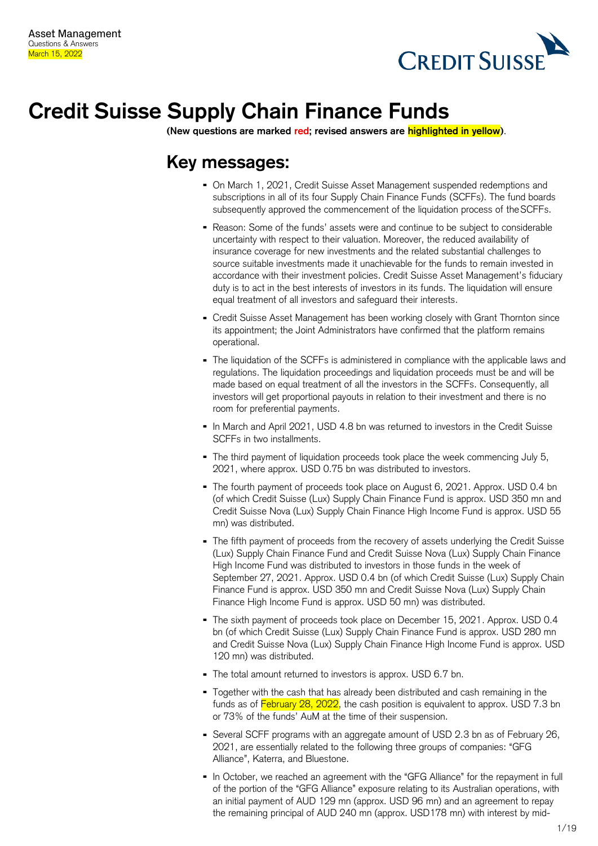

# **Credit Suisse Supply Chain Finance Funds**

**(New questions are marked red; revised answers are highlighted in yellow)**.

## **Key messages:**

- On March 1, 2021, Credit Suisse Asset Management suspended redemptions and subscriptions in all of its four Supply Chain Finance Funds (SCFFs). The fund boards subsequently approved the commencement of the liquidation process of theSCFFs.
- Reason: Some of the funds' assets were and continue to be subject to considerable uncertainty with respect to their valuation. Moreover, the reduced availability of insurance coverage for new investments and the related substantial challenges to source suitable investments made it unachievable for the funds to remain invested in accordance with their investment policies. Credit Suisse Asset Management's fiduciary duty is to act in the best interests of investors in its funds. The liquidation will ensure equal treatment of all investors and safeguard their interests.
- Credit Suisse Asset Management has been working closely with Grant Thornton since its appointment; the Joint Administrators have confirmed that the platform remains operational.
- The liquidation of the SCFFs is administered in compliance with the applicable laws and regulations. The liquidation proceedings and liquidation proceeds must be and will be made based on equal treatment of all the investors in the SCFFs. Consequently, all investors will get proportional payouts in relation to their investment and there is no room for preferential payments.
- In March and April 2021, USD 4.8 bn was returned to investors in the Credit Suisse SCFFs in two installments.
- The third payment of liquidation proceeds took place the week commencing July 5, 2021, where approx. USD 0.75 bn was distributed to investors.
- The fourth payment of proceeds took place on August 6, 2021. Approx. USD 0.4 bn (of which Credit Suisse (Lux) Supply Chain Finance Fund is approx. USD 350 mn and Credit Suisse Nova (Lux) Supply Chain Finance High Income Fund is approx. USD 55 mn) was distributed.
- The fifth payment of proceeds from the recovery of assets underlying the Credit Suisse (Lux) Supply Chain Finance Fund and Credit Suisse Nova (Lux) Supply Chain Finance High Income Fund was distributed to investors in those funds in the week of September 27, 2021. Approx. USD 0.4 bn (of which Credit Suisse (Lux) Supply Chain Finance Fund is approx. USD 350 mn and Credit Suisse Nova (Lux) Supply Chain Finance High Income Fund is approx. USD 50 mn) was distributed.
- The sixth payment of proceeds took place on December 15, 2021. Approx. USD 0.4 bn (of which Credit Suisse (Lux) Supply Chain Finance Fund is approx. USD 280 mn and Credit Suisse Nova (Lux) Supply Chain Finance High Income Fund is approx. USD 120 mn) was distributed.
- The total amount returned to investors is approx. USD 6.7 bn.
- Together with the cash that has already been distributed and cash remaining in the funds as of February 28, 2022, the cash position is equivalent to approx. USD 7.3 bn or 73% of the funds' AuM at the time of their suspension.
- Several SCFF programs with an aggregate amount of USD 2.3 bn as of February 26, 2021, are essentially related to the following three groups of companies: "GFG Alliance", Katerra, and Bluestone.
- In October, we reached an agreement with the "GFG Alliance" for the repayment in full of the portion of the "GFG Alliance" exposure relating to its Australian operations, with an initial payment of AUD 129 mn (approx. USD 96 mn) and an agreement to repay the remaining principal of AUD 240 mn (approx. USD178 mn) with interest by mid-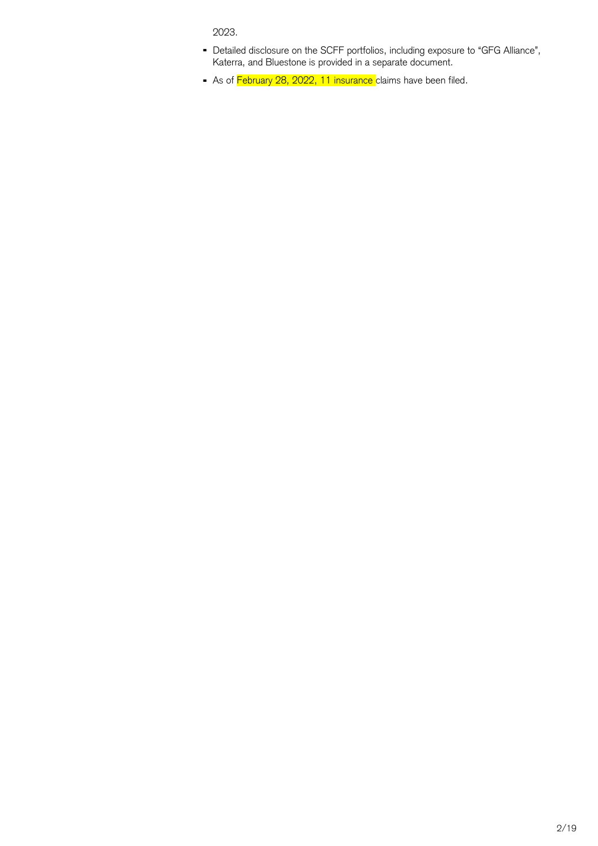2023.

- Detailed disclosure on the SCFF portfolios, including exposure to "GFG Alliance", Katerra, and Bluestone is provided in a separate document.
- As of February 28, 2022, 11 insurance claims have been filed.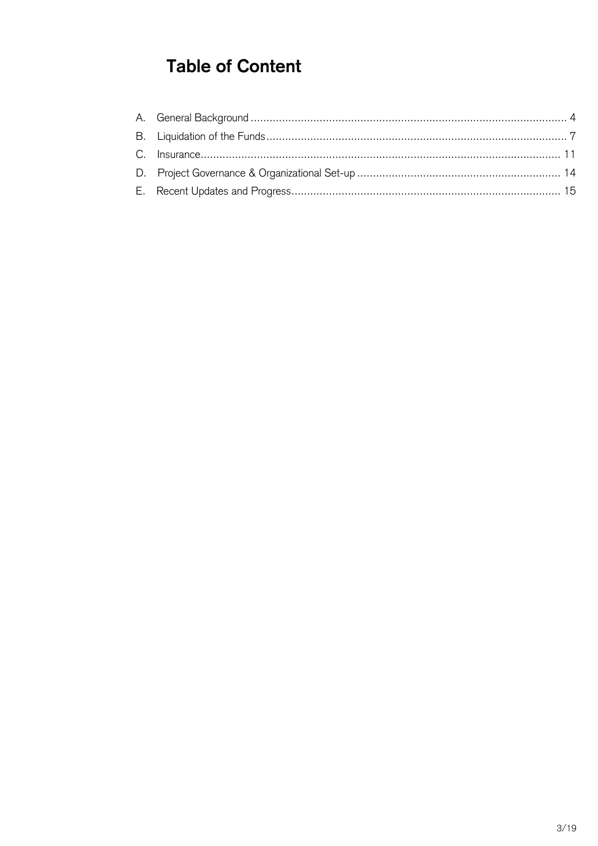## **Table of Content**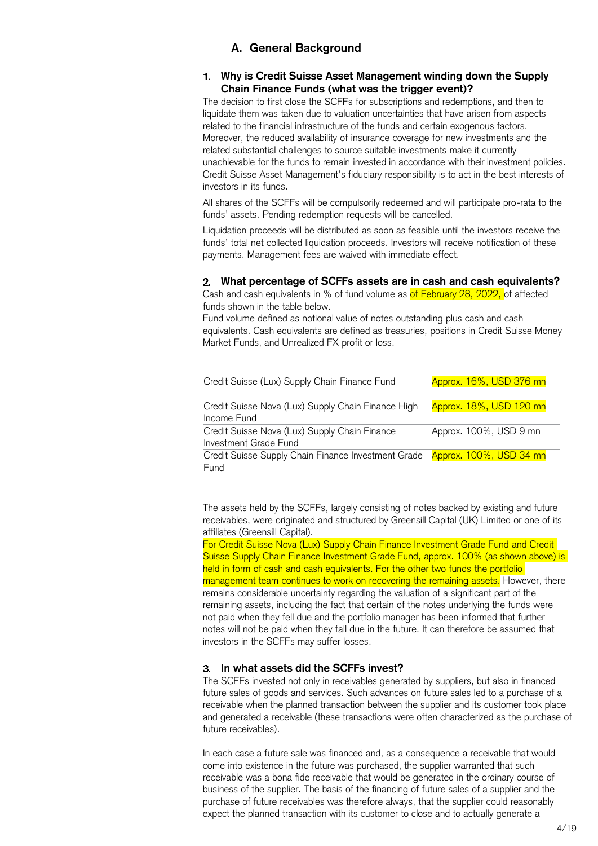## **A. General Background**

#### <span id="page-3-0"></span>**Why is Credit Suisse Asset Management winding down the Supply Chain Finance Funds (what was the trigger event)?**

The decision to first close the SCFFs for subscriptions and redemptions, and then to liquidate them was taken due to valuation uncertainties that have arisen from aspects related to the financial infrastructure of the funds and certain exogenous factors. Moreover, the reduced availability of insurance coverage for new investments and the related substantial challenges to source suitable investments make it currently unachievable for the funds to remain invested in accordance with their investment policies. Credit Suisse Asset Management's fiduciary responsibility is to act in the best interests of investors in its funds.

All shares of the SCFFs will be compulsorily redeemed and will participate pro-rata to the funds' assets. Pending redemption requests will be cancelled.

Liquidation proceeds will be distributed as soon as feasible until the investors receive the funds' total net collected liquidation proceeds. Investors will receive notification of these payments. Management fees are waived with immediate effect.

#### **What percentage of SCFFs assets are in cash and cash equivalents?**

Cash and cash equivalents in % of fund volume as of February 28, 2022, of affected funds shown in the table below.

Fund volume defined as notional value of notes outstanding plus cash and cash equivalents. Cash equivalents are defined as treasuries, positions in Credit Suisse Money Market Funds, and Unrealized FX profit or loss.

| Credit Suisse (Lux) Supply Chain Finance Fund                          | Approx. 16%, USD 376 mn |
|------------------------------------------------------------------------|-------------------------|
| Credit Suisse Nova (Lux) Supply Chain Finance High<br>Income Fund      | Approx. 18%, USD 120 mn |
| Credit Suisse Nova (Lux) Supply Chain Finance<br>Investment Grade Fund | Approx. 100%, USD 9 mn  |
| Credit Suisse Supply Chain Finance Investment Grade<br>Fund            | Approx. 100%, USD 34 mn |

The assets held by the SCFFs, largely consisting of notes backed by existing and future receivables, were originated and structured by Greensill Capital (UK) Limited or one of its affiliates (Greensill Capital).

For Credit Suisse Nova (Lux) Supply Chain Finance Investment Grade Fund and Credit Suisse Supply Chain Finance Investment Grade Fund, approx. 100% (as shown above) is held in form of cash and cash equivalents. For the other two funds the portfolio management team continues to work on recovering the remaining assets. However, there remains considerable uncertainty regarding the valuation of a significant part of the remaining assets, including the fact that certain of the notes underlying the funds were not paid when they fell due and the portfolio manager has been informed that further notes will not be paid when they fall due in the future. It can therefore be assumed that investors in the SCFFs may suffer losses.

#### **In what assets did the SCFFs invest?**

The SCFFs invested not only in receivables generated by suppliers, but also in financed future sales of goods and services. Such advances on future sales led to a purchase of a receivable when the planned transaction between the supplier and its customer took place and generated a receivable (these transactions were often characterized as the purchase of future receivables).

In each case a future sale was financed and, as a consequence a receivable that would come into existence in the future was purchased, the supplier warranted that such receivable was a bona fide receivable that would be generated in the ordinary course of business of the supplier. The basis of the financing of future sales of a supplier and the purchase of future receivables was therefore always, that the supplier could reasonably expect the planned transaction with its customer to close and to actually generate a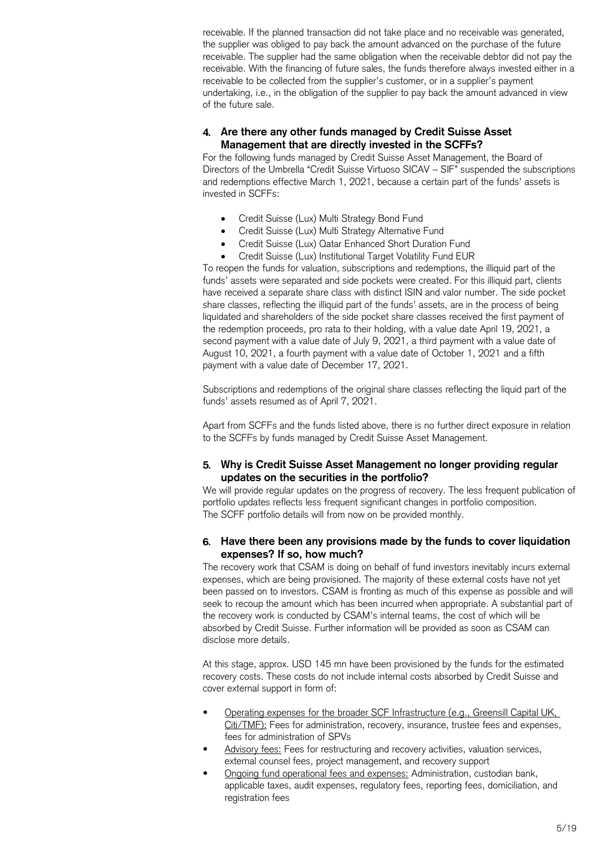receivable. If the planned transaction did not take place and no receivable was generated, the supplier was obliged to pay back the amount advanced on the purchase of the future receivable. The supplier had the same obligation when the receivable debtor did not pay the receivable. With the financing of future sales, the funds therefore always invested either in a receivable to be collected from the supplier's customer, or in a supplier's payment undertaking, i.e., in the obligation of the supplier to pay back the amount advanced in view of the future sale.

## **Are there any other funds managed by Credit Suisse Asset Management that are directly invested in the SCFFs?**

For the following funds managed by Credit Suisse Asset Management, the Board of Directors of the Umbrella "Credit Suisse Virtuoso SICAV – SIF" suspended the subscriptions and redemptions effective March 1, 2021, because a certain part of the funds' assets is invested in SCFFs:

- Credit Suisse (Lux) Multi Strategy Bond Fund
- Credit Suisse (Lux) Multi Strategy Alternative Fund
- Credit Suisse (Lux) Qatar Enhanced Short Duration Fund
- Credit Suisse (Lux) Institutional Target Volatility Fund EUR

To reopen the funds for valuation, subscriptions and redemptions, the illiquid part of the funds' assets were separated and side pockets were created. For this illiquid part, clients have received a separate share class with distinct ISIN and valor number. The side pocket share classes, reflecting the illiquid part of the funds' assets, are in the process of being liquidated and shareholders of the side pocket share classes received the first payment of the redemption proceeds, pro rata to their holding, with a value date April 19, 2021, a second payment with a value date of July 9, 2021, a third payment with a value date of August 10, 2021, a fourth payment with a value date of October 1, 2021 and a fifth payment with a value date of December 17, 2021.

Subscriptions and redemptions of the original share classes reflecting the liquid part of the funds' assets resumed as of April 7, 2021.

Apart from SCFFs and the funds listed above, there is no further direct exposure in relation to the SCFFs by funds managed by Credit Suisse Asset Management.

#### **Why is Credit Suisse Asset Management no longer providing regular updates on the securities in the portfolio?**

We will provide regular updates on the progress of recovery. The less frequent publication of portfolio updates reflects less frequent significant changes in portfolio composition. The SCFF portfolio details will from now on be provided monthly.

#### **Have there been any provisions made by the funds to cover liquidation expenses? If so, how much?**

The recovery work that CSAM is doing on behalf of fund investors inevitably incurs external expenses, which are being provisioned. The majority of these external costs have not yet been passed on to investors. CSAM is fronting as much of this expense as possible and will seek to recoup the amount which has been incurred when appropriate. A substantial part of the recovery work is conducted by CSAM's internal teams, the cost of which will be absorbed by Credit Suisse. Further information will be provided as soon as CSAM can disclose more details.

At this stage, approx. USD 145 mn have been provisioned by the funds for the estimated recovery costs. These costs do not include internal costs absorbed by Credit Suisse and cover external support in form of:

- Operating expenses for the broader SCF Infrastructure (e.g., Greensill Capital UK, Citi/TMF): Fees for administration, recovery, insurance, trustee fees and expenses, fees for administration of SPVs
- Advisory fees: Fees for restructuring and recovery activities, valuation services, external counsel fees, project management, and recovery support
- Ongoing fund operational fees and expenses: Administration, custodian bank, applicable taxes, audit expenses, regulatory fees, reporting fees, domiciliation, and registration fees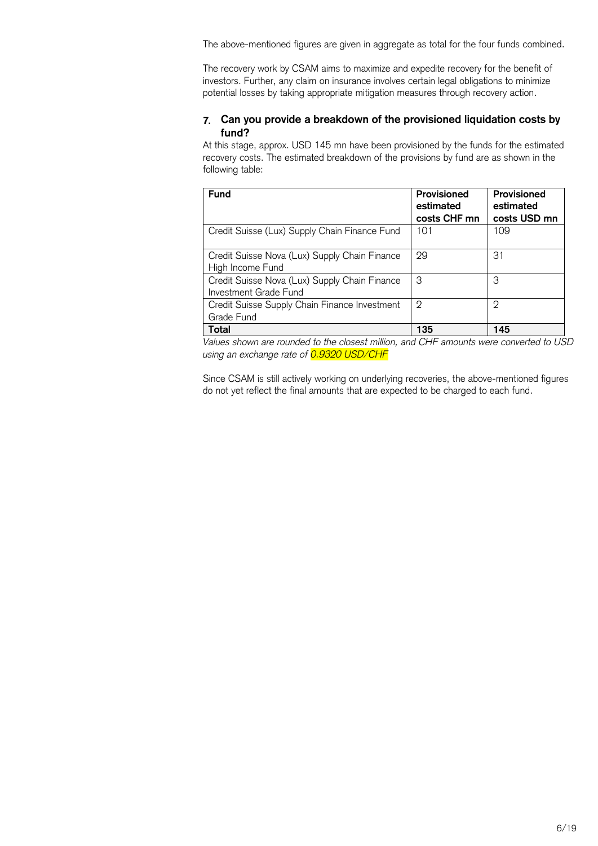The above-mentioned figures are given in aggregate as total for the four funds combined.

The recovery work by CSAM aims to maximize and expedite recovery for the benefit of investors. Further, any claim on insurance involves certain legal obligations to minimize potential losses by taking appropriate mitigation measures through recovery action.

## **Can you provide a breakdown of the provisioned liquidation costs by fund?**

At this stage, approx. USD 145 mn have been provisioned by the funds for the estimated recovery costs. The estimated breakdown of the provisions by fund are as shown in the following table:

| <b>Fund</b>                                                            | Provisioned<br>estimated<br>costs CHF mn | Provisioned<br>estimated<br>costs USD mn |
|------------------------------------------------------------------------|------------------------------------------|------------------------------------------|
| Credit Suisse (Lux) Supply Chain Finance Fund                          | 101                                      | 109                                      |
| Credit Suisse Nova (Lux) Supply Chain Finance<br>High Income Fund      | 29                                       | 31                                       |
| Credit Suisse Nova (Lux) Supply Chain Finance<br>Investment Grade Fund | 3                                        | 3                                        |
| Credit Suisse Supply Chain Finance Investment<br>Grade Fund            | 2                                        | 2                                        |
| Total                                                                  | 135                                      | 145                                      |

*Values shown are rounded to the closest million, and CHF amounts were converted to USD using an exchange rate of 0.9320 USD/CHF*

Since CSAM is still actively working on underlying recoveries, the above-mentioned figures do not yet reflect the final amounts that are expected to be charged to each fund.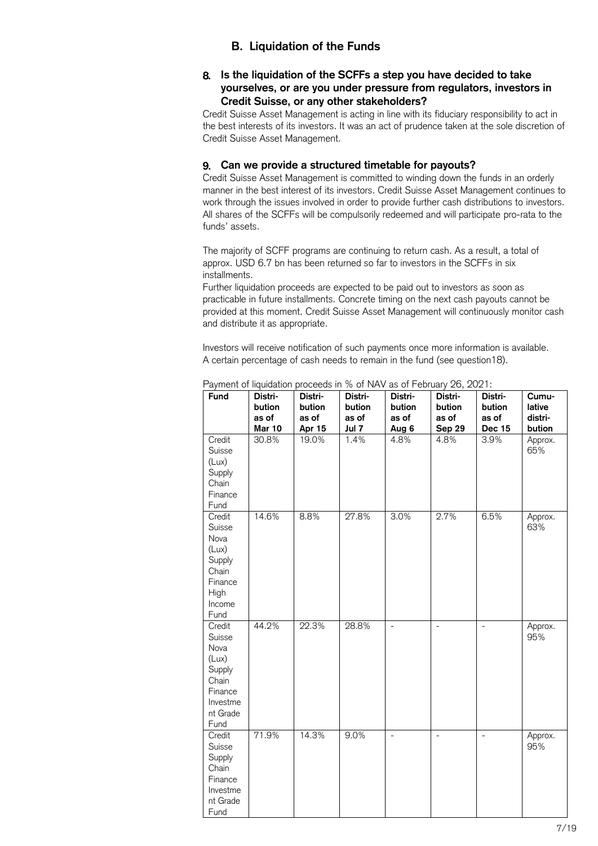## **B. Liquidation of the Funds**

## <span id="page-6-0"></span>**Is the liquidation of the SCFFs a step you have decided to take yourselves, or are you under pressure from regulators, investors in Credit Suisse, or any other stakeholders?**

Credit Suisse Asset Management is acting in line with its fiduciary responsibility to act in the best interests of its investors. It was an act of prudence taken at the sole discretion of Credit Suisse Asset Management.

## **Can we provide a structured timetable for payouts?**

Credit Suisse Asset Management is committed to winding down the funds in an orderly manner in the best interest of its investors. Credit Suisse Asset Management continues to work through the issues involved in order to provide further cash distributions to investors. All shares of the SCFFs will be compulsorily redeemed and will participate pro-rata to the funds' assets.

The majority of SCFF programs are continuing to return cash. As a result, a total of approx. USD 6.7 bn has been returned so far to investors in the SCFFs in six installments.

Further liquidation proceeds are expected to be paid out to investors as soon as practicable in future installments. Concrete timing on the next cash payouts cannot be provided at this moment. Credit Suisse Asset Management will continuously monitor cash and distribute it as appropriate.

Investors will receive notification of such payments once more information is available. A certain percentage of cash needs to remain in the fund (see question18).

| Fund                                                                                            | Distri-<br>bution<br>as of | Distri-<br>bution<br>as of | Distri-<br>bution<br>as of | Distri-<br>bution<br>as of | Distri-<br>bution<br>as of | Distri-<br>bution<br>as of | Cumu-<br>lative<br>distri- |
|-------------------------------------------------------------------------------------------------|----------------------------|----------------------------|----------------------------|----------------------------|----------------------------|----------------------------|----------------------------|
| Credit<br>Suisse<br>(Lux)<br>Supply<br>Chain<br>Finance<br>Fund                                 | <b>Mar 10</b><br>30.8%     | Apr 15<br>19.0%            | Jul 7<br>1.4%              | Aug 6<br>4.8%              | Sep 29<br>4.8%             | <b>Dec 15</b><br>3.9%      | bution<br>Approx.<br>65%   |
| Credit<br>Suisse<br>Nova<br>(Lux)<br>Supply<br>Chain<br>Finance<br>High<br>Income<br>Fund       | 14.6%                      | 8.8%                       | 27.8%                      | 3.0%                       | 2.7%                       | 6.5%                       | Approx.<br>63%             |
| Credit<br>Suisse<br>Nova<br>(Lux)<br>Supply<br>Chain<br>Finance<br>Investme<br>nt Grade<br>Fund | 44.2%                      | 22.3%                      | 28.8%                      | $\overline{a}$             |                            | $\overline{\phantom{0}}$   | Approx.<br>95%             |
| Credit<br>Suisse<br>Supply<br>Chain<br>Finance<br>Investme<br>nt Grade<br>Fund                  | 71.9%                      | 14.3%                      | 9.0%                       |                            |                            | $\overline{\phantom{a}}$   | Approx.<br>95%             |

Payment of liquidation proceeds in % of NAV as of February 26, 2021: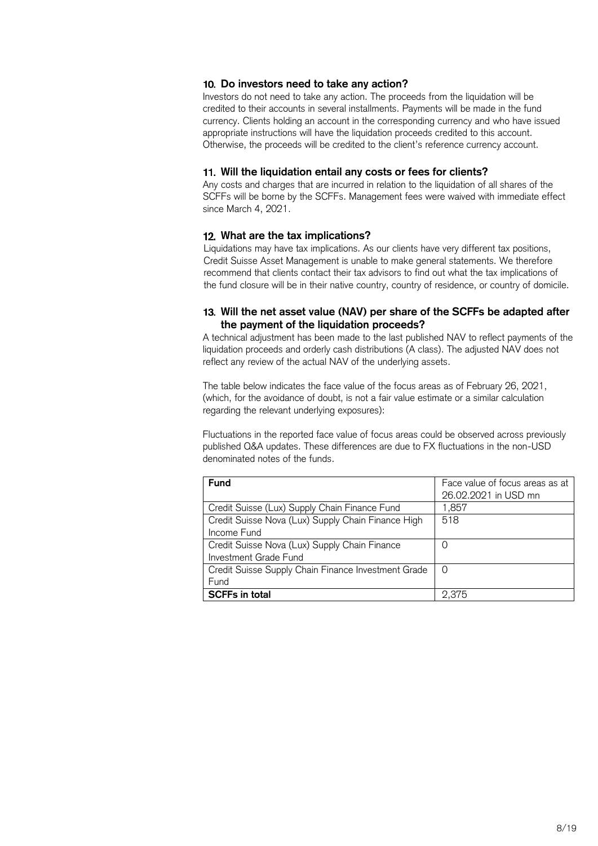## **Do investors need to take any action?**

Investors do not need to take any action. The proceeds from the liquidation will be credited to their accounts in several installments. Payments will be made in the fund currency. Clients holding an account in the corresponding currency and who have issued appropriate instructions will have the liquidation proceeds credited to this account. Otherwise, the proceeds will be credited to the client's reference currency account.

## **Will the liquidation entail any costs or fees for clients?**

Any costs and charges that are incurred in relation to the liquidation of all shares of the SCFFs will be borne by the SCFFs. Management fees were waived with immediate effect since March 4, 2021.

## **What are the tax implications?**

Liquidations may have tax implications. As our clients have very different tax positions, Credit Suisse Asset Management is unable to make general statements. We therefore recommend that clients contact their tax advisors to find out what the tax implications of the fund closure will be in their native country, country of residence, or country of domicile.

## **Will the net asset value (NAV) per share of the SCFFs be adapted after the payment of the liquidation proceeds?**

A technical adjustment has been made to the last published NAV to reflect payments of the liquidation proceeds and orderly cash distributions (A class). The adjusted NAV does not reflect any review of the actual NAV of the underlying assets.

The table below indicates the face value of the focus areas as of February 26, 2021, (which, for the avoidance of doubt, is not a fair value estimate or a similar calculation regarding the relevant underlying exposures):

Fluctuations in the reported face value of focus areas could be observed across previously published Q&A updates. These differences are due to FX fluctuations in the non-USD denominated notes of the funds.

| <b>Fund</b>                                         | Face value of focus areas as at<br>26.02.2021 in USD mn |
|-----------------------------------------------------|---------------------------------------------------------|
| Credit Suisse (Lux) Supply Chain Finance Fund       | 1,857                                                   |
| Credit Suisse Nova (Lux) Supply Chain Finance High  | 518                                                     |
| Income Fund                                         |                                                         |
| Credit Suisse Nova (Lux) Supply Chain Finance       | O                                                       |
| Investment Grade Fund                               |                                                         |
| Credit Suisse Supply Chain Finance Investment Grade | 0                                                       |
| Fund                                                |                                                         |
| <b>SCFFs in total</b>                               | 2,375                                                   |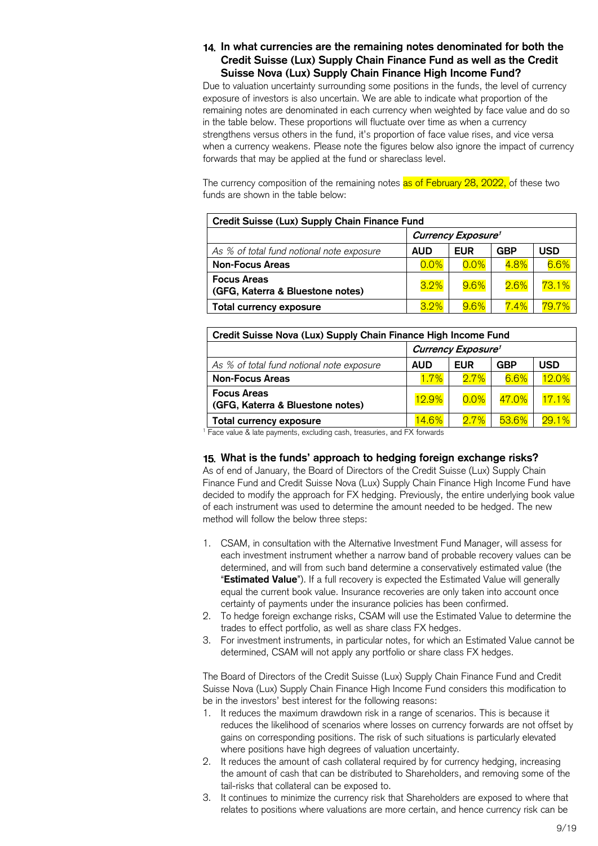## **In what currencies are the remaining notes denominated for both the Credit Suisse (Lux) Supply Chain Finance Fund as well as the Credit Suisse Nova (Lux) Supply Chain Finance High Income Fund?**

Due to valuation uncertainty surrounding some positions in the funds, the level of currency exposure of investors is also uncertain. We are able to indicate what proportion of the remaining notes are denominated in each currency when weighted by face value and do so in the table below. These proportions will fluctuate over time as when a currency strengthens versus others in the fund, it's proportion of face value rises, and vice versa when a currency weakens. Please note the figures below also ignore the impact of currency forwards that may be applied at the fund or shareclass level.

The currency composition of the remaining notes as of February 28, 2022, of these two funds are shown in the table below:

| Credit Suisse (Lux) Supply Chain Finance Fund          |                           |            |         |       |  |  |
|--------------------------------------------------------|---------------------------|------------|---------|-------|--|--|
|                                                        | <b>Currency Exposure'</b> |            |         |       |  |  |
| As % of total fund notional note exposure              | <b>AUD</b>                | <b>EUR</b> | GBP     | JSD   |  |  |
| <b>Non-Focus Areas</b>                                 | 0.0%                      | $0.0\%$    | 4.8%    | 6.6%  |  |  |
| <b>Focus Areas</b><br>(GFG, Katerra & Bluestone notes) | 3.2%                      | $9.6\%$    | 2.6%    | 73.1% |  |  |
| Total currency exposure                                | 3.2%                      | $9.6\%$    | $7.4\%$ | 79.7% |  |  |

| Credit Suisse Nova (Lux) Supply Chain Finance High Income Fund |                           |            |         |       |  |  |
|----------------------------------------------------------------|---------------------------|------------|---------|-------|--|--|
|                                                                | <b>Currency Exposure'</b> |            |         |       |  |  |
| As % of total fund notional note exposure                      | <b>AUD</b>                | <b>EUR</b> | GBP     | USD   |  |  |
| <b>Non-Focus Areas</b>                                         | 1.7%                      | $2.7\%$    | $6.6\%$ | 12.0% |  |  |
| <b>Focus Areas</b><br>(GFG, Katerra & Bluestone notes)         | <b>12.9%</b>              | 0.0%       | 47.0%   | 17.1% |  |  |
| Total currency exposure                                        | $14.6\%$                  | $2.7\%$    | 53.6%   | 29.1% |  |  |

<sup>1</sup> Face value & late payments, excluding cash, treasuries, and FX forwards

#### **What is the funds' approach to hedging foreign exchange risks?**

As of end of January, the Board of Directors of the Credit Suisse (Lux) Supply Chain Finance Fund and Credit Suisse Nova (Lux) Supply Chain Finance High Income Fund have decided to modify the approach for FX hedging. Previously, the entire underlying book value of each instrument was used to determine the amount needed to be hedged. The new method will follow the below three steps:

- 1. CSAM, in consultation with the Alternative Investment Fund Manager, will assess for each investment instrument whether a narrow band of probable recovery values can be determined, and will from such band determine a conservatively estimated value (the "**Estimated Value**"). If a full recovery is expected the Estimated Value will generally equal the current book value. Insurance recoveries are only taken into account once certainty of payments under the insurance policies has been confirmed.
- 2. To hedge foreign exchange risks, CSAM will use the Estimated Value to determine the trades to effect portfolio, as well as share class FX hedges.
- 3. For investment instruments, in particular notes, for which an Estimated Value cannot be determined, CSAM will not apply any portfolio or share class FX hedges.

The Board of Directors of the Credit Suisse (Lux) Supply Chain Finance Fund and Credit Suisse Nova (Lux) Supply Chain Finance High Income Fund considers this modification to be in the investors' best interest for the following reasons:

- 1. It reduces the maximum drawdown risk in a range of scenarios. This is because it reduces the likelihood of scenarios where losses on currency forwards are not offset by gains on corresponding positions. The risk of such situations is particularly elevated where positions have high degrees of valuation uncertainty.
- 2. It reduces the amount of cash collateral required by for currency hedging, increasing the amount of cash that can be distributed to Shareholders, and removing some of the tail-risks that collateral can be exposed to.
- 3. It continues to minimize the currency risk that Shareholders are exposed to where that relates to positions where valuations are more certain, and hence currency risk can be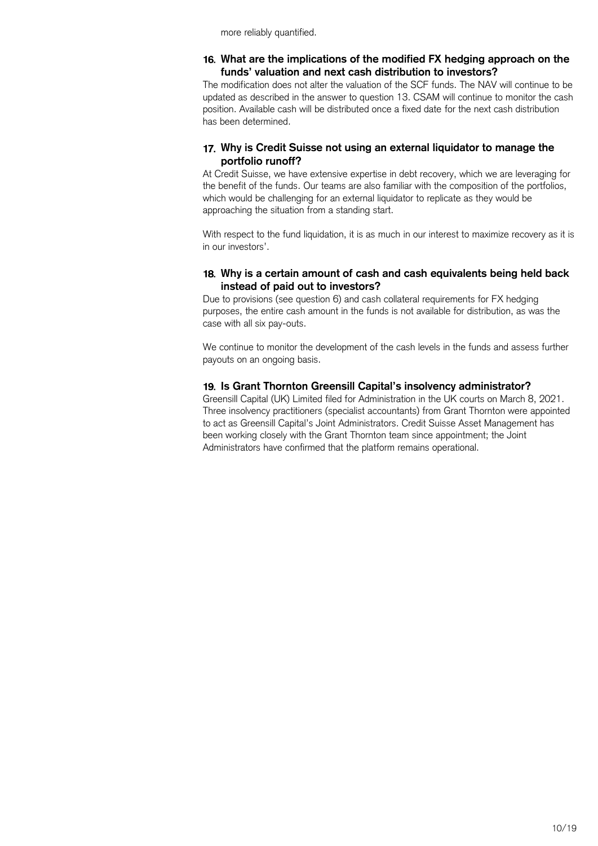more reliably quantified.

## **What are the implications of the modified FX hedging approach on the funds' valuation and next cash distribution to investors?**

The modification does not alter the valuation of the SCF funds. The NAV will continue to be updated as described in the answer to question 13. CSAM will continue to monitor the cash position. Available cash will be distributed once a fixed date for the next cash distribution has been determined.

## **Why is Credit Suisse not using an external liquidator to manage the portfolio runoff?**

At Credit Suisse, we have extensive expertise in debt recovery, which we are leveraging for the benefit of the funds. Our teams are also familiar with the composition of the portfolios, which would be challenging for an external liquidator to replicate as they would be approaching the situation from a standing start.

With respect to the fund liquidation, it is as much in our interest to maximize recovery as it is in our investors'.

## **Why is a certain amount of cash and cash equivalents being held back instead of paid out to investors?**

Due to provisions (see question 6) and cash collateral requirements for FX hedging purposes, the entire cash amount in the funds is not available for distribution, as was the case with all six pay-outs.

We continue to monitor the development of the cash levels in the funds and assess further payouts on an ongoing basis.

## **Is Grant Thornton Greensill Capital's insolvency administrator?**

Greensill Capital (UK) Limited filed for Administration in the UK courts on March 8, 2021. Three insolvency practitioners (specialist accountants) from Grant Thornton were appointed to act as Greensill Capital's Joint Administrators. Credit Suisse Asset Management has been working closely with the Grant Thornton team since appointment; the Joint Administrators have confirmed that the platform remains operational.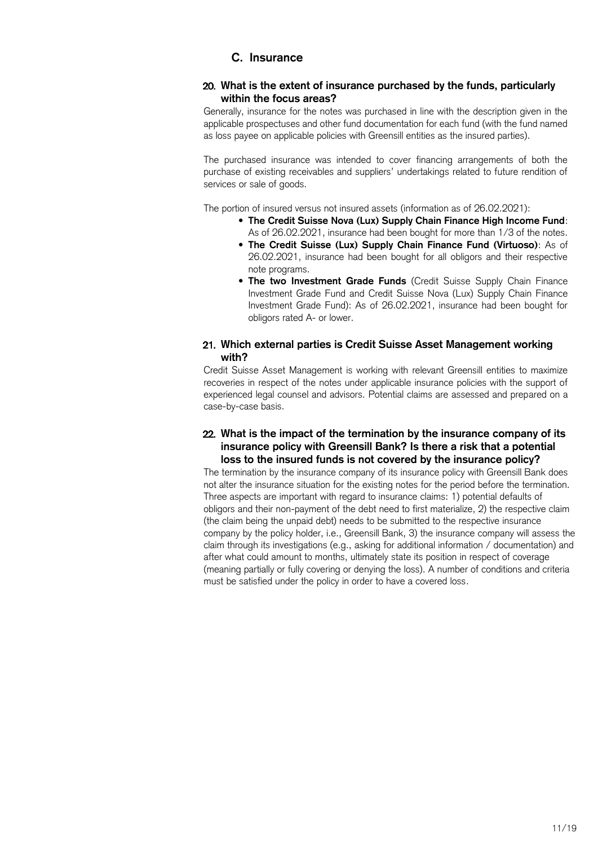## **C. Insurance**

## <span id="page-10-0"></span>**What is the extent of insurance purchased by the funds, particularly within the focus areas?**

Generally, insurance for the notes was purchased in line with the description given in the applicable prospectuses and other fund documentation for each fund (with the fund named as loss payee on applicable policies with Greensill entities as the insured parties).

The purchased insurance was intended to cover financing arrangements of both the purchase of existing receivables and suppliers' undertakings related to future rendition of services or sale of goods.

The portion of insured versus not insured assets (information as of 26.02.2021):

- **The Credit Suisse Nova (Lux) Supply Chain Finance High Income Fund**: As of 26.02.2021, insurance had been bought for more than 1/3 of the notes.
- **The Credit Suisse (Lux) Supply Chain Finance Fund (Virtuoso)**: As of 26.02.2021, insurance had been bought for all obligors and their respective note programs.
- **The two Investment Grade Funds** (Credit Suisse Supply Chain Finance Investment Grade Fund and Credit Suisse Nova (Lux) Supply Chain Finance Investment Grade Fund): As of 26.02.2021, insurance had been bought for obligors rated A- or lower.

## **Which external parties is Credit Suisse Asset Management working with?**

Credit Suisse Asset Management is working with relevant Greensill entities to maximize recoveries in respect of the notes under applicable insurance policies with the support of experienced legal counsel and advisors. Potential claims are assessed and prepared on a case-by-case basis.

## **What is the impact of the termination by the insurance company of its insurance policy with Greensill Bank? Is there a risk that a potential loss to the insured funds is not covered by the insurance policy?**

The termination by the insurance company of its insurance policy with Greensill Bank does not alter the insurance situation for the existing notes for the period before the termination. Three aspects are important with regard to insurance claims: 1) potential defaults of obligors and their non-payment of the debt need to first materialize, 2) the respective claim (the claim being the unpaid debt) needs to be submitted to the respective insurance company by the policy holder, i.e., Greensill Bank, 3) the insurance company will assess the claim through its investigations (e.g., asking for additional information / documentation) and after what could amount to months, ultimately state its position in respect of coverage (meaning partially or fully covering or denying the loss). A number of conditions and criteria must be satisfied under the policy in order to have a covered loss.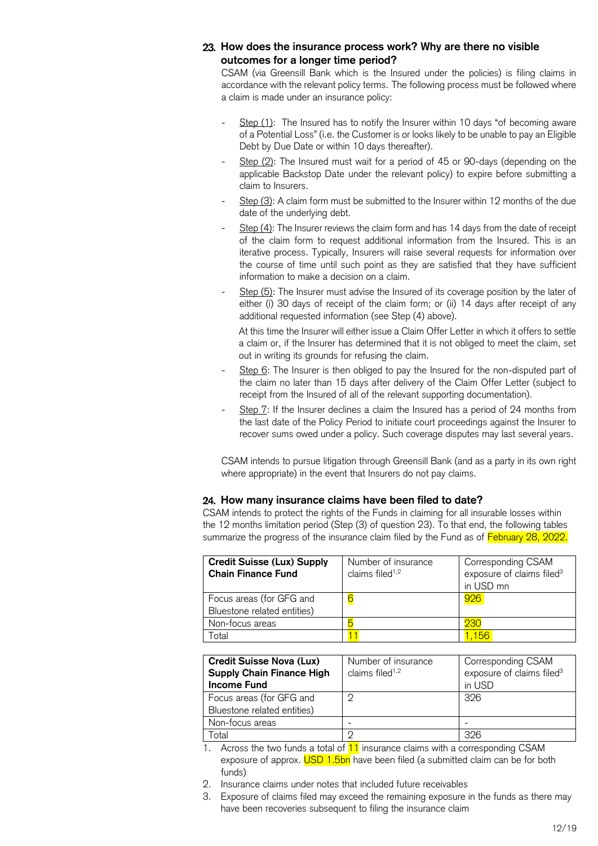## **How does the insurance process work? Why are there no visible outcomes for a longer time period?**

CSAM (via Greensill Bank which is the Insured under the policies) is filing claims in accordance with the relevant policy terms. The following process must be followed where a claim is made under an insurance policy:

- Step (1): The Insured has to notify the Insurer within 10 days "of becoming aware of a Potential Loss" (i.e. the Customer is or looks likely to be unable to pay an Eligible Debt by Due Date or within 10 days thereafter).
- $Step (2)$ : The Insured must wait for a period of 45 or 90-days (depending on the applicable Backstop Date under the relevant policy) to expire before submitting a claim to Insurers.
- Step (3): A claim form must be submitted to the Insurer within 12 months of the due date of the underlying debt.
- $S$ tep (4): The Insurer reviews the claim form and has 14 days from the date of receipt of the claim form to request additional information from the Insured. This is an iterative process. Typically, Insurers will raise several requests for information over the course of time until such point as they are satisfied that they have sufficient information to make a decision on a claim.
- Step (5): The Insurer must advise the Insured of its coverage position by the later of either (i) 30 days of receipt of the claim form; or (ii) 14 days after receipt of any additional requested information (see Step (4) above).

At this time the Insurer will either issue a Claim Offer Letter in which it offers to settle a claim or, if the Insurer has determined that it is not obliged to meet the claim, set out in writing its grounds for refusing the claim.

- Step 6: The Insurer is then obliged to pay the Insured for the non-disputed part of the claim no later than 15 days after delivery of the Claim Offer Letter (subject to receipt from the Insured of all of the relevant supporting documentation).
- Step 7: If the Insurer declines a claim the Insured has a period of 24 months from the last date of the Policy Period to initiate court proceedings against the Insurer to recover sums owed under a policy. Such coverage disputes may last several years.

CSAM intends to pursue litigation through Greensill Bank (and as a party in its own right where appropriate) in the event that Insurers do not pay claims.

## **How many insurance claims have been filed to date?**

CSAM intends to protect the rights of the Funds in claiming for all insurable losses within the 12 months limitation period (Step (3) of question 23). To that end, the following tables summarize the progress of the insurance claim filed by the Fund as of February 28, 2022.

| <b>Credit Suisse (Lux) Supply</b><br><b>Chain Finance Fund</b> | Number of insurance<br>claims filed $1,2$ | Corresponding CSAM<br>exposure of claims filed <sup>3</sup><br>in USD mn |
|----------------------------------------------------------------|-------------------------------------------|--------------------------------------------------------------------------|
| Focus areas (for GFG and<br>Bluestone related entities)        |                                           | 926                                                                      |
| Non-focus areas                                                |                                           | 230                                                                      |
| Гоtal                                                          |                                           | .156                                                                     |

| <b>Credit Suisse Nova (Lux)</b><br><b>Supply Chain Finance High</b><br><b>Income Fund</b> | Number of insurance<br>claims filed <sup>1,2</sup> | Corresponding CSAM<br>exposure of claims filed <sup>3</sup><br>in USD |
|-------------------------------------------------------------------------------------------|----------------------------------------------------|-----------------------------------------------------------------------|
| Focus areas (for GFG and<br>Bluestone related entities)                                   |                                                    | 326                                                                   |
| Non-focus areas                                                                           |                                                    |                                                                       |
| -otal                                                                                     |                                                    | 326                                                                   |

- 1. Across the two funds a total of  $11$  insurance claims with a corresponding CSAM exposure of approx. USD 1.5bn have been filed (a submitted claim can be for both funds)
- 2. Insurance claims under notes that included future receivables
- 3. Exposure of claims filed may exceed the remaining exposure in the funds as there may have been recoveries subsequent to filing the insurance claim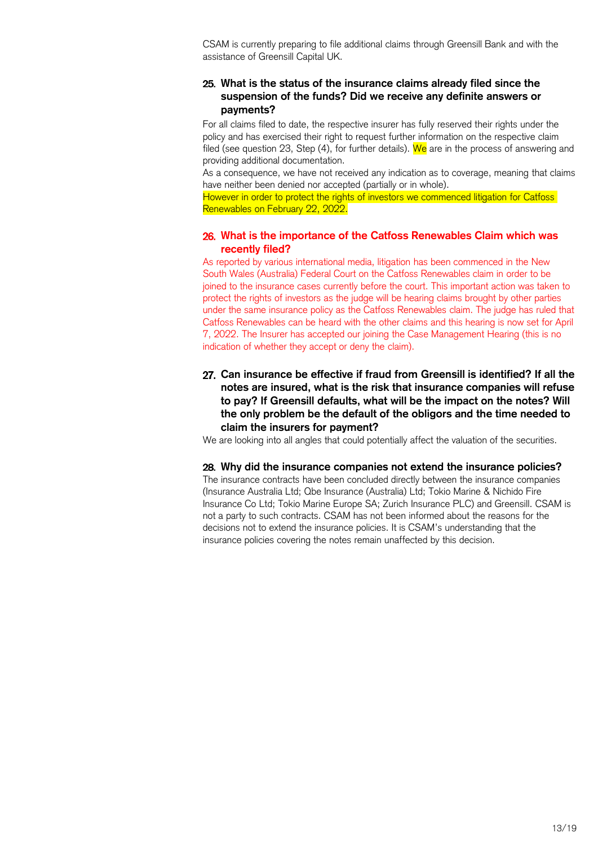CSAM is currently preparing to file additional claims through Greensill Bank and with the assistance of Greensill Capital UK.

## **What is the status of the insurance claims already filed since the suspension of the funds? Did we receive any definite answers or payments?**

For all claims filed to date, the respective insurer has fully reserved their rights under the policy and has exercised their right to request further information on the respective claim filed (see question 23, Step  $(4)$ , for further details). We are in the process of answering and providing additional documentation.

As a consequence, we have not received any indication as to coverage, meaning that claims have neither been denied nor accepted (partially or in whole).

However in order to protect the rights of investors we commenced litigation for Catfoss Renewables on February 22, 2022.

## **What is the importance of the Catfoss Renewables Claim which was recently filed?**

As reported by various international media, litigation has been commenced in the New South Wales (Australia) Federal Court on the Catfoss Renewables claim in order to be joined to the insurance cases currently before the court. This important action was taken to protect the rights of investors as the judge will be hearing claims brought by other parties under the same insurance policy as the Catfoss Renewables claim. The judge has ruled that Catfoss Renewables can be heard with the other claims and this hearing is now set for April 7, 2022. The Insurer has accepted our joining the Case Management Hearing (this is no indication of whether they accept or deny the claim).

**Can insurance be effective if fraud from Greensill is identified? If all the notes are insured, what is the risk that insurance companies will refuse to pay? If Greensill defaults, what will be the impact on the notes? Will the only problem be the default of the obligors and the time needed to claim the insurers for payment?**

We are looking into all angles that could potentially affect the valuation of the securities.

#### **Why did the insurance companies not extend the insurance policies?**

The insurance contracts have been concluded directly between the insurance companies (Insurance Australia Ltd; Qbe Insurance (Australia) Ltd; Tokio Marine & Nichido Fire Insurance Co Ltd; Tokio Marine Europe SA; Zurich Insurance PLC) and Greensill. CSAM is not a party to such contracts. CSAM has not been informed about the reasons for the decisions not to extend the insurance policies. It is CSAM's understanding that the insurance policies covering the notes remain unaffected by this decision.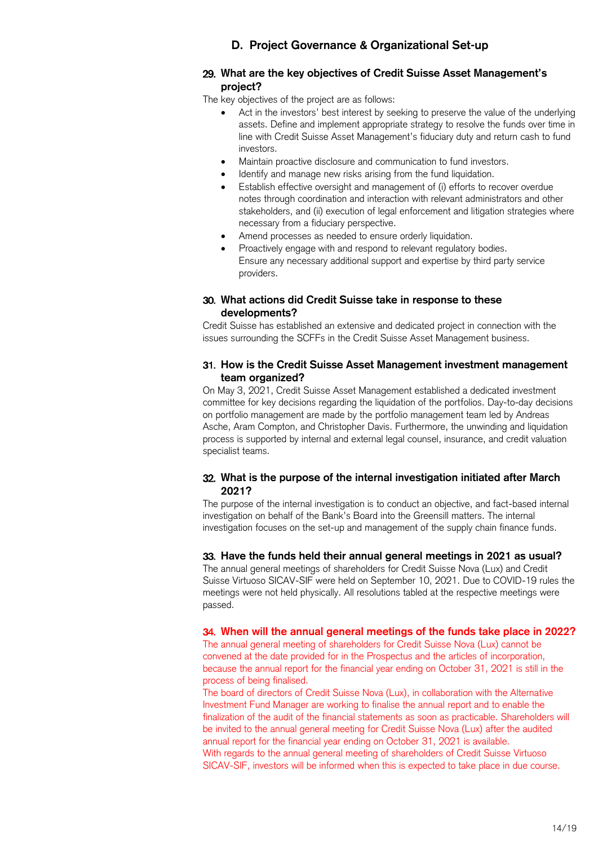## **D. Project Governance & Organizational Set-up**

## <span id="page-13-0"></span>**What are the key objectives of Credit Suisse Asset Management's project?**

The key objectives of the project are as follows:

- Act in the investors' best interest by seeking to preserve the value of the underlying assets. Define and implement appropriate strategy to resolve the funds over time in line with Credit Suisse Asset Management's fiduciary duty and return cash to fund investors.
- Maintain proactive disclosure and communication to fund investors.
- Identify and manage new risks arising from the fund liquidation.
- Establish effective oversight and management of (i) efforts to recover overdue notes through coordination and interaction with relevant administrators and other stakeholders, and (ii) execution of legal enforcement and litigation strategies where necessary from a fiduciary perspective.
- Amend processes as needed to ensure orderly liquidation.
- Proactively engage with and respond to relevant regulatory bodies. Ensure any necessary additional support and expertise by third party service providers.

## **What actions did Credit Suisse take in response to these developments?**

Credit Suisse has established an extensive and dedicated project in connection with the issues surrounding the SCFFs in the Credit Suisse Asset Management business.

## **How is the Credit Suisse Asset Management investment management team organized?**

On May 3, 2021, Credit Suisse Asset Management established a dedicated investment committee for key decisions regarding the liquidation of the portfolios. Day-to-day decisions on portfolio management are made by the portfolio management team led by Andreas Asche, Aram Compton, and Christopher Davis. Furthermore, the unwinding and liquidation process is supported by internal and external legal counsel, insurance, and credit valuation specialist teams.

## **What is the purpose of the internal investigation initiated after March 2021?**

The purpose of the internal investigation is to conduct an objective, and fact-based internal investigation on behalf of the Bank's Board into the Greensill matters. The internal investigation focuses on the set-up and management of the supply chain finance funds.

#### **Have the funds held their annual general meetings in 2021 as usual?**

The annual general meetings of shareholders for Credit Suisse Nova (Lux) and Credit Suisse Virtuoso SICAV-SIF were held on September 10, 2021. Due to COVID-19 rules the meetings were not held physically. All resolutions tabled at the respective meetings were passed.

#### **When will the annual general meetings of the funds take place in 2022?**

The annual general meeting of shareholders for Credit Suisse Nova (Lux) cannot be convened at the date provided for in the Prospectus and the articles of incorporation, because the annual report for the financial year ending on October 31, 2021 is still in the process of being finalised.

The board of directors of Credit Suisse Nova (Lux), in collaboration with the Alternative Investment Fund Manager are working to finalise the annual report and to enable the finalization of the audit of the financial statements as soon as practicable. Shareholders will be invited to the annual general meeting for Credit Suisse Nova (Lux) after the audited annual report for the financial year ending on October 31, 2021 is available. With regards to the annual general meeting of shareholders of Credit Suisse Virtuoso SICAV-SIF, investors will be informed when this is expected to take place in due course.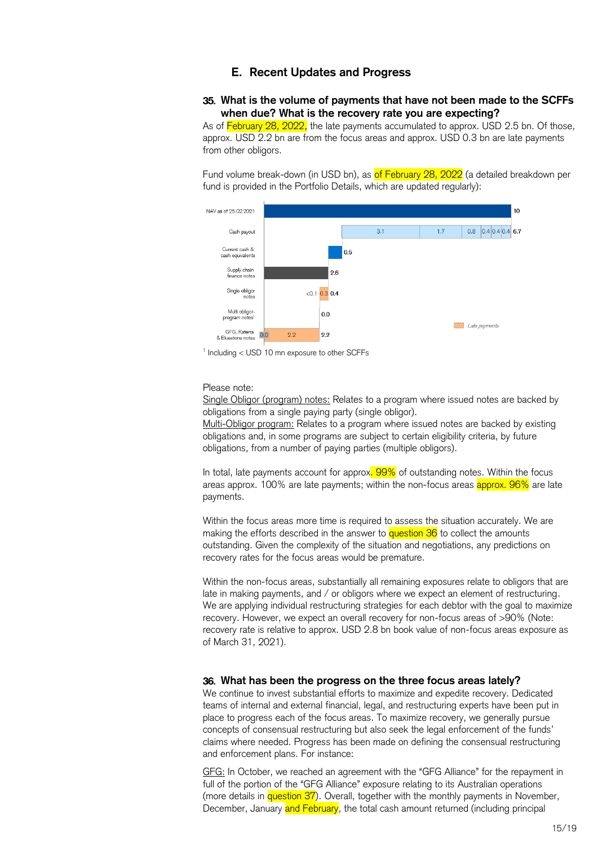#### **E. Recent Updates and Progress**

#### <span id="page-14-0"></span>**What is the volume of payments that have not been made to the SCFFs when due? What is the recovery rate you are expecting?**

As of February 28, 2022, the late payments accumulated to approx. USD 2.5 bn. Of those, approx. USD 2.2 bn are from the focus areas and approx. USD 0.3 bn are late payments from other obligors.

Fund volume break-down (in USD bn), as of February 28, 2022 (a detailed breakdown per fund is provided in the Portfolio Details, which are updated regularly):



1 Including < USD 10 mn exposure to other SCFFs

#### Please note:

Single Obligor (program) notes: Relates to a program where issued notes are backed by obligations from a single paying party (single obligor).

Multi-Obligor program: Relates to a program where issued notes are backed by existing obligations and, in some programs are subject to certain eligibility criteria, by future obligations, from a number of paying parties (multiple obligors).

In total, late payments account for approx. 99% of outstanding notes. Within the focus areas approx. 100% are late payments; within the non-focus areas approx. 96% are late payments.

Within the focus areas more time is required to assess the situation accurately. We are making the efforts described in the answer to **question 36** to collect the amounts outstanding. Given the complexity of the situation and negotiations, any predictions on recovery rates for the focus areas would be premature.

Within the non-focus areas, substantially all remaining exposures relate to obligors that are late in making payments, and / or obligors where we expect an element of restructuring. We are applying individual restructuring strategies for each debtor with the goal to maximize recovery. However, we expect an overall recovery for non-focus areas of >90% (Note: recovery rate is relative to approx. USD 2.8 bn book value of non-focus areas exposure as of March 31, 2021).

#### **What has been the progress on the three focus areas lately?**

We continue to invest substantial efforts to maximize and expedite recovery. Dedicated teams of internal and external financial, legal, and restructuring experts have been put in place to progress each of the focus areas. To maximize recovery, we generally pursue concepts of consensual restructuring but also seek the legal enforcement of the funds' claims where needed. Progress has been made on defining the consensual restructuring and enforcement plans. For instance:

GFG: In October, we reached an agreement with the "GFG Alliance" for the repayment in full of the portion of the "GFG Alliance" exposure relating to its Australian operations (more details in question 37). Overall, together with the monthly payments in November, December, January and February, the total cash amount returned (including principal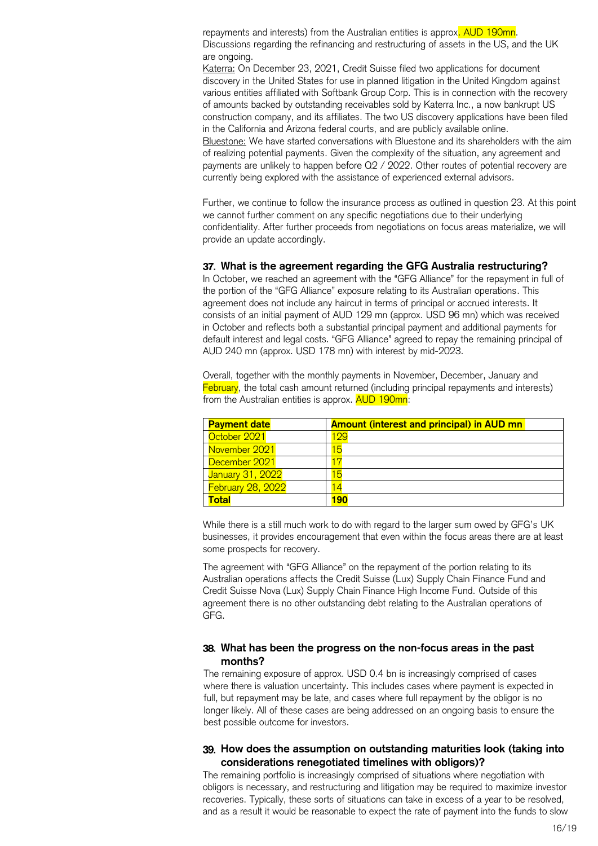repayments and interests) from the Australian entities is approx. AUD 190mn. Discussions regarding the refinancing and restructuring of assets in the US, and the UK are ongoing.

Katerra: On December 23, 2021, Credit Suisse filed two applications for document discovery in the United States for use in planned litigation in the United Kingdom against various entities affiliated with Softbank Group Corp. This is in connection with the recovery of amounts backed by outstanding receivables sold by Katerra Inc., a now bankrupt US construction company, and its affiliates. The two US discovery applications have been filed in the California and Arizona federal courts, and are publicly available online. Bluestone: We have started conversations with Bluestone and its shareholders with the aim of realizing potential payments. Given the complexity of the situation, any agreement and payments are unlikely to happen before Q2 / 2022. Other routes of potential recovery are currently being explored with the assistance of experienced external advisors.

Further, we continue to follow the insurance process as outlined in question 23. At this point we cannot further comment on any specific negotiations due to their underlying confidentiality. After further proceeds from negotiations on focus areas materialize, we will provide an update accordingly.

#### **What is the agreement regarding the GFG Australia restructuring?**

In October, we reached an agreement with the "GFG Alliance" for the repayment in full of the portion of the "GFG Alliance" exposure relating to its Australian operations. This agreement does not include any haircut in terms of principal or accrued interests. It consists of an initial payment of AUD 129 mn (approx. USD 96 mn) which was received in October and reflects both a substantial principal payment and additional payments for default interest and legal costs. "GFG Alliance" agreed to repay the remaining principal of AUD 240 mn (approx. USD 178 mn) with interest by mid-2023.

Overall, together with the monthly payments in November, December, January and February, the total cash amount returned (including principal repayments and interests) from the Australian entities is approx. AUD 190mn:

| <b>Payment date</b> | <b>Amount (interest and principal) in AUD mn</b> |
|---------------------|--------------------------------------------------|
| October 2021        | <u> 199</u>                                      |
| November 2021       | 15                                               |
| December 2021       | 17                                               |
| January 31, 2022    | 5                                                |
| February 28, 2022   |                                                  |
| Total               | 190                                              |

While there is a still much work to do with regard to the larger sum owed by GFG's UK businesses, it provides encouragement that even within the focus areas there are at least some prospects for recovery.

The agreement with "GFG Alliance" on the repayment of the portion relating to its Australian operations affects the Credit Suisse (Lux) Supply Chain Finance Fund and Credit Suisse Nova (Lux) Supply Chain Finance High Income Fund. Outside of this agreement there is no other outstanding debt relating to the Australian operations of GFG.

#### **What has been the progress on the non-focus areas in the past months?**

The remaining exposure of approx. USD 0.4 bn is increasingly comprised of cases where there is valuation uncertainty. This includes cases where payment is expected in full, but repayment may be late, and cases where full repayment by the obligor is no longer likely. All of these cases are being addressed on an ongoing basis to ensure the best possible outcome for investors.

#### **How does the assumption on outstanding maturities look (taking into considerations renegotiated timelines with obligors)?**

The remaining portfolio is increasingly comprised of situations where negotiation with obligors is necessary, and restructuring and litigation may be required to maximize investor recoveries. Typically, these sorts of situations can take in excess of a year to be resolved, and as a result it would be reasonable to expect the rate of payment into the funds to slow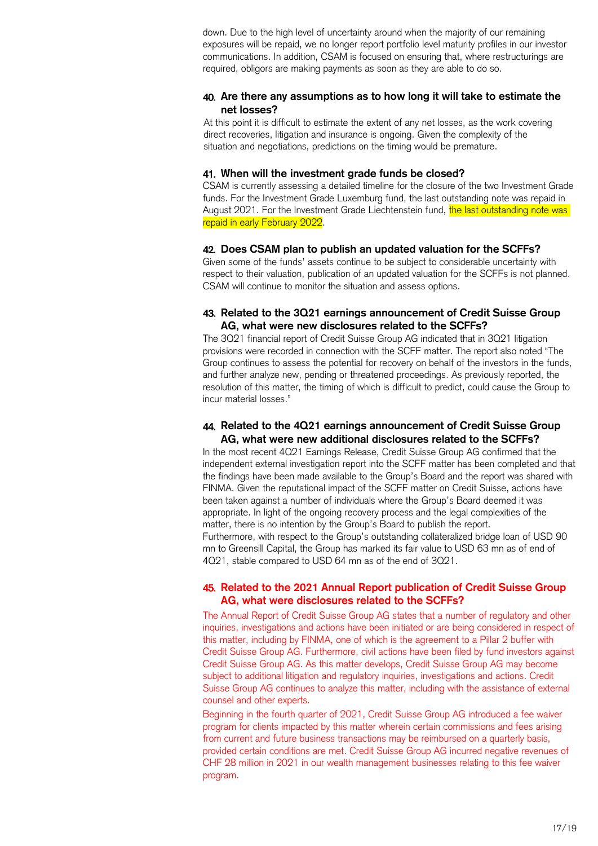down. Due to the high level of uncertainty around when the majority of our remaining exposures will be repaid, we no longer report portfolio level maturity profiles in our investor communications. In addition, CSAM is focused on ensuring that, where restructurings are required, obligors are making payments as soon as they are able to do so.

## **Are there any assumptions as to how long it will take to estimate the net losses?**

At this point it is difficult to estimate the extent of any net losses, as the work covering direct recoveries, litigation and insurance is ongoing. Given the complexity of the situation and negotiations, predictions on the timing would be premature.

#### **When will the investment grade funds be closed?**

CSAM is currently assessing a detailed timeline for the closure of the two Investment Grade funds. For the Investment Grade Luxemburg fund, the last outstanding note was repaid in August 2021. For the Investment Grade Liechtenstein fund, the last outstanding note was repaid in early February 2022.

#### **Does CSAM plan to publish an updated valuation for the SCFFs?**

Given some of the funds' assets continue to be subject to considerable uncertainty with respect to their valuation, publication of an updated valuation for the SCFFs is not planned. CSAM will continue to monitor the situation and assess options.

## **Related to the 3Q21 earnings announcement of Credit Suisse Group AG, what were new disclosures related to the SCFFs?**

The 3Q21 financial report of Credit Suisse Group AG indicated that in 3Q21 litigation provisions were recorded in connection with the SCFF matter. The report also noted "The Group continues to assess the potential for recovery on behalf of the investors in the funds, and further analyze new, pending or threatened proceedings. As previously reported, the resolution of this matter, the timing of which is difficult to predict, could cause the Group to incur material losses."

#### **Related to the 4Q21 earnings announcement of Credit Suisse Group AG, what were new additional disclosures related to the SCFFs?**

In the most recent 4Q21 Earnings Release, Credit Suisse Group AG confirmed that the independent external investigation report into the SCFF matter has been completed and that the findings have been made available to the Group's Board and the report was shared with FINMA. Given the reputational impact of the SCFF matter on Credit Suisse, actions have been taken against a number of individuals where the Group's Board deemed it was appropriate. In light of the ongoing recovery process and the legal complexities of the matter, there is no intention by the Group's Board to publish the report. Furthermore, with respect to the Group's outstanding collateralized bridge loan of USD 90 mn to Greensill Capital, the Group has marked its fair value to USD 63 mn as of end of 4Q21, stable compared to USD 64 mn as of the end of 3Q21.

## **Related to the 2021 Annual Report publication of Credit Suisse Group AG, what were disclosures related to the SCFFs?**

The Annual Report of Credit Suisse Group AG states that a number of regulatory and other inquiries, investigations and actions have been initiated or are being considered in respect of this matter, including by FINMA, one of which is the agreement to a Pillar 2 buffer with Credit Suisse Group AG. Furthermore, civil actions have been filed by fund investors against Credit Suisse Group AG. As this matter develops, Credit Suisse Group AG may become subject to additional litigation and regulatory inquiries, investigations and actions. Credit Suisse Group AG continues to analyze this matter, including with the assistance of external counsel and other experts.

Beginning in the fourth quarter of 2021, Credit Suisse Group AG introduced a fee waiver program for clients impacted by this matter wherein certain commissions and fees arising from current and future business transactions may be reimbursed on a quarterly basis, provided certain conditions are met. Credit Suisse Group AG incurred negative revenues of CHF 28 million in 2021 in our wealth management businesses relating to this fee waiver program.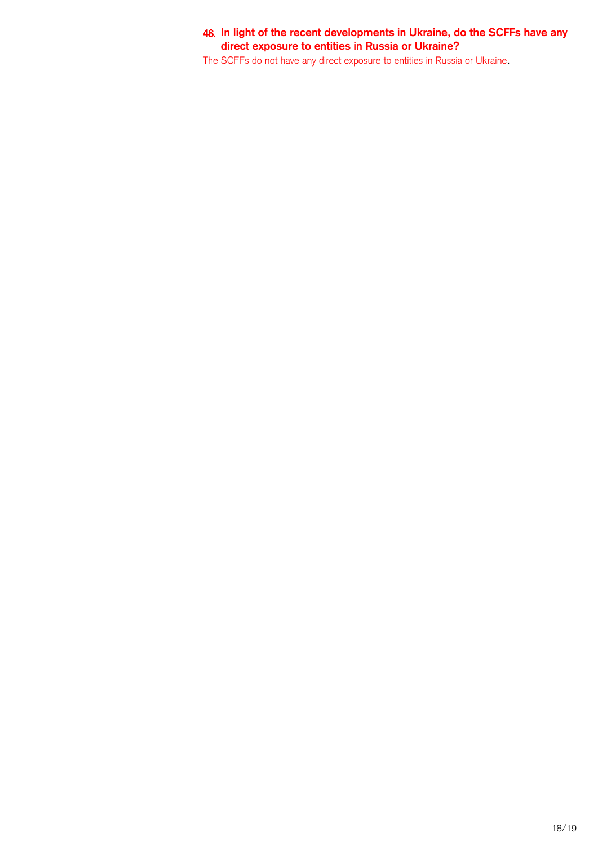## **In light of the recent developments in Ukraine, do the SCFFs have any direct exposure to entities in Russia or Ukraine?**

The SCFFs do not have any direct exposure to entities in Russia or Ukraine.